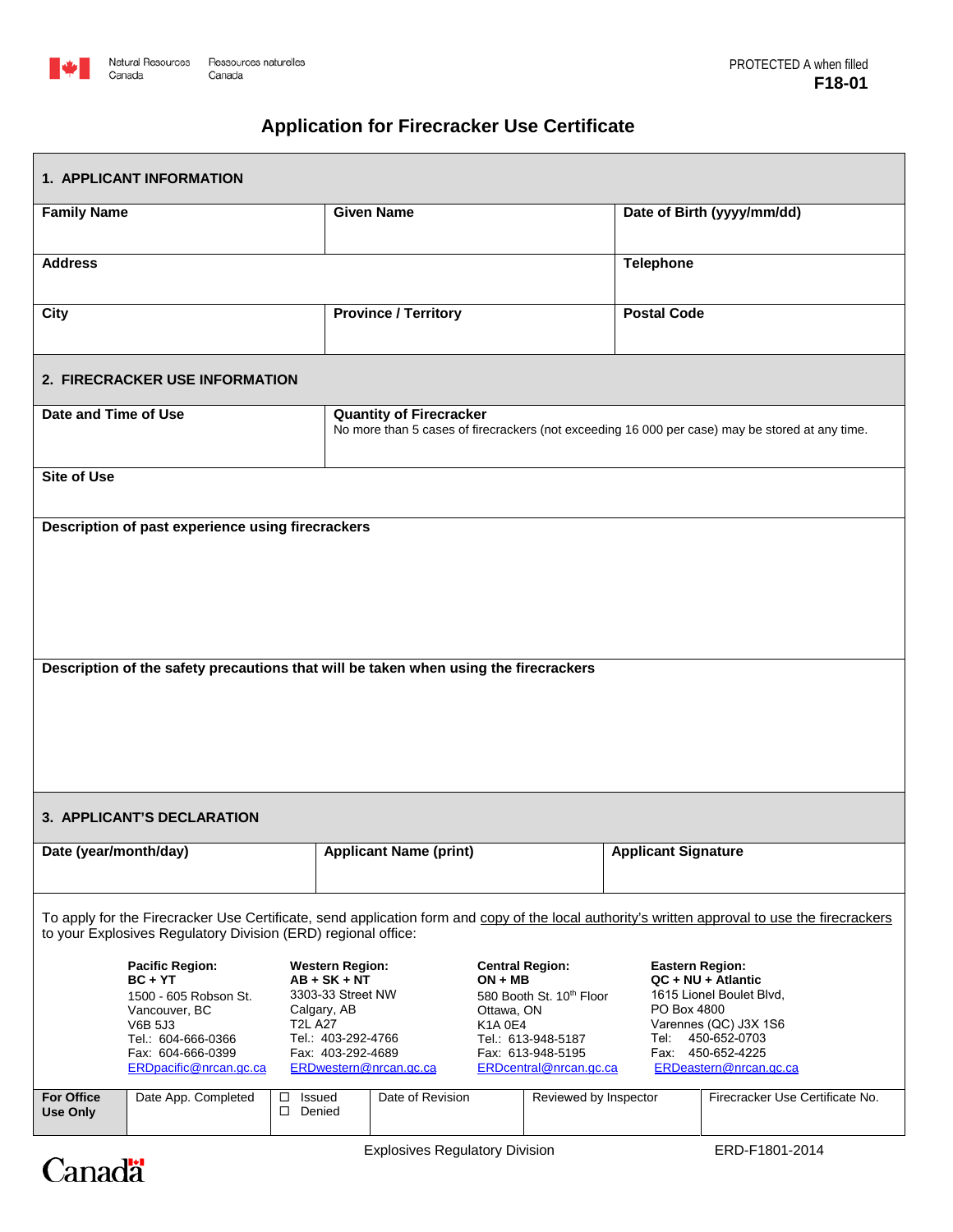

## **Application for Firecracker Use Certificate**

| <b>1. APPLICANT INFORMATION</b>                                                                                                                                                                                 |                                                                                                                                                                                        |                                      |                                                                                                                                                   |  |                                                                                                                                                               |                                                                                                                                                                                         |                                 |
|-----------------------------------------------------------------------------------------------------------------------------------------------------------------------------------------------------------------|----------------------------------------------------------------------------------------------------------------------------------------------------------------------------------------|--------------------------------------|---------------------------------------------------------------------------------------------------------------------------------------------------|--|---------------------------------------------------------------------------------------------------------------------------------------------------------------|-----------------------------------------------------------------------------------------------------------------------------------------------------------------------------------------|---------------------------------|
| <b>Family Name</b>                                                                                                                                                                                              |                                                                                                                                                                                        |                                      | <b>Given Name</b>                                                                                                                                 |  |                                                                                                                                                               |                                                                                                                                                                                         | Date of Birth (yyyy/mm/dd)      |
| <b>Address</b>                                                                                                                                                                                                  |                                                                                                                                                                                        |                                      |                                                                                                                                                   |  |                                                                                                                                                               | <b>Telephone</b>                                                                                                                                                                        |                                 |
| City                                                                                                                                                                                                            |                                                                                                                                                                                        |                                      | <b>Province / Territory</b>                                                                                                                       |  |                                                                                                                                                               | <b>Postal Code</b>                                                                                                                                                                      |                                 |
|                                                                                                                                                                                                                 | 2. FIRECRACKER USE INFORMATION                                                                                                                                                         |                                      |                                                                                                                                                   |  |                                                                                                                                                               |                                                                                                                                                                                         |                                 |
| Date and Time of Use                                                                                                                                                                                            |                                                                                                                                                                                        |                                      | <b>Quantity of Firecracker</b><br>No more than 5 cases of firecrackers (not exceeding 16 000 per case) may be stored at any time.                 |  |                                                                                                                                                               |                                                                                                                                                                                         |                                 |
| <b>Site of Use</b>                                                                                                                                                                                              |                                                                                                                                                                                        |                                      |                                                                                                                                                   |  |                                                                                                                                                               |                                                                                                                                                                                         |                                 |
| Description of past experience using firecrackers                                                                                                                                                               |                                                                                                                                                                                        |                                      |                                                                                                                                                   |  |                                                                                                                                                               |                                                                                                                                                                                         |                                 |
|                                                                                                                                                                                                                 |                                                                                                                                                                                        |                                      |                                                                                                                                                   |  |                                                                                                                                                               |                                                                                                                                                                                         |                                 |
| Description of the safety precautions that will be taken when using the firecrackers                                                                                                                            |                                                                                                                                                                                        |                                      |                                                                                                                                                   |  |                                                                                                                                                               |                                                                                                                                                                                         |                                 |
|                                                                                                                                                                                                                 |                                                                                                                                                                                        |                                      |                                                                                                                                                   |  |                                                                                                                                                               |                                                                                                                                                                                         |                                 |
|                                                                                                                                                                                                                 |                                                                                                                                                                                        |                                      |                                                                                                                                                   |  |                                                                                                                                                               |                                                                                                                                                                                         |                                 |
| 3. APPLICANT'S DECLARATION                                                                                                                                                                                      |                                                                                                                                                                                        |                                      |                                                                                                                                                   |  |                                                                                                                                                               |                                                                                                                                                                                         |                                 |
| Date (year/month/day)                                                                                                                                                                                           |                                                                                                                                                                                        |                                      | <b>Applicant Name (print)</b>                                                                                                                     |  |                                                                                                                                                               | <b>Applicant Signature</b>                                                                                                                                                              |                                 |
| To apply for the Firecracker Use Certificate, send application form and copy of the local authority's written approval to use the firecrackers<br>to your Explosives Regulatory Division (ERD) regional office: |                                                                                                                                                                                        |                                      |                                                                                                                                                   |  |                                                                                                                                                               |                                                                                                                                                                                         |                                 |
|                                                                                                                                                                                                                 | <b>Pacific Region:</b><br>$BC + YT$<br>1500 - 605 Robson St.<br>Vancouver, BC<br><b>V6B 5J3</b><br><b>T2L A27</b><br>Tel.: 604-666-0366<br>Fax: 604-666-0399<br>ERDpacific@nrcan.gc.ca |                                      | <b>Western Region:</b><br>$AB + SK + NT$<br>3303-33 Street NW<br>Calgary, AB<br>Tel.: 403-292-4766<br>Fax: 403-292-4689<br>ERDwestern@nrcan.gc.ca |  | <b>Central Region:</b><br>$ON + MB$<br>580 Booth St. 10th Floor<br>Ottawa, ON<br>K1A 0E4<br>Tel.: 613-948-5187<br>Fax: 613-948-5195<br>ERDcentral@nrcan.gc.ca | <b>Eastern Region:</b><br>QC + NU + Atlantic<br>1615 Lionel Boulet Blvd.<br>PO Box 4800<br>Varennes (QC) J3X 1S6<br>450-652-0703<br>Tel:<br>Fax: 450-652-4225<br>ERDeastern@nrcan.gc.ca |                                 |
| <b>For Office</b><br><b>Use Only</b>                                                                                                                                                                            | Date App. Completed                                                                                                                                                                    | Issued<br>$\Box$<br>Denied<br>$\Box$ | Date of Revision                                                                                                                                  |  | Reviewed by Inspector                                                                                                                                         |                                                                                                                                                                                         | Firecracker Use Certificate No. |